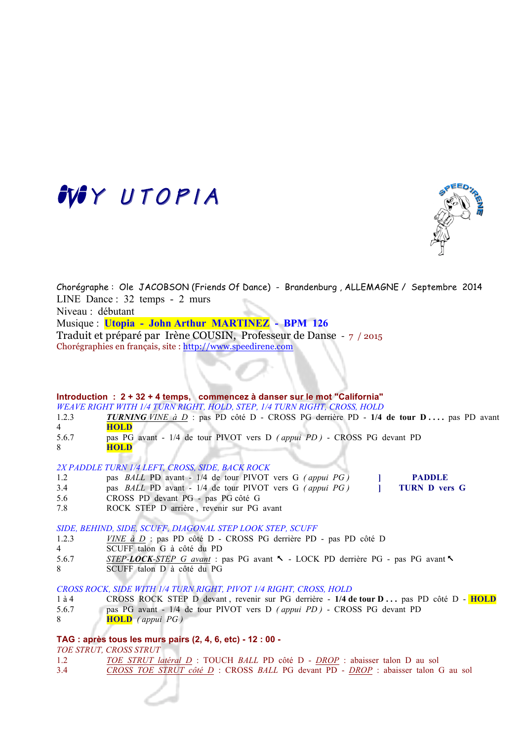# M<sup>Y</sup> UTOPIA



Chorégraphe : Ole JACOBSON (Friends Of Dance) - Brandenburg , ALLEMAGNE / Septembre 2014 LINE Dance : 32 temps - 2 murs Niveau : débutant Musique : **Utopia - John Arthur MARTINEZ - BPM 126**  Traduit et préparé par Irène COUSIN, Professeur de Danse - 7 / 2015 Chorégraphies en français, site : http://www.speedirene.com

#### **Introduction : 2 + 32 + 4 temps, commencez à danser sur le mot "California"**

*WEAVE RIGHT WITH 1/4 TURN RIGHT, HOLD, STEP, 1/4 TURN RIGHT, CROSS, HOLD*

- 1.2.3 *TURNING VINE à D* : pas PD côté D CROSS PG derrière PD 1/4 de tour D . . . . pas PD avant 4 **HOLD**
- 5.6.7 pas PG avant 1/4 de tour PIVOT vers D *( appui PD )*  CROSS PG devant PD 8 **HOLD**

#### *2X PADDLE TURN 1/4 LEFT, CROSS, SIDE, BACK ROCK*

- 1.2 pas *BALL* PD avant 1/4 de tour PIVOT vers G *( appui PG )* **] PADDLE**
- 3.4 pas *BALL* PD avant 1/4 de tour PIVOT vers G *(appui PG)* 1
- 5.6 CROSS PD devant PG pas PG côté G
- 7.8 ROCK STEP D arrière , revenir sur PG avant

*SIDE, BEHIND, SIDE, SCUFF, DIAGONAL STEP LOOK STEP, SCUFF* 

- 1.2.3 *VINE à D* : pas PD côté D CROSS PG derrière PD pas PD côté D
- 4 SCUFF talon G à côté du PD
- 5.6.7 *STEP-LOCK-STEP G avant* : pas PG avant % LOCK PD derrière PG pas PG avant %
- 8 SCUFF talon D à côté du PG

### *CROSS ROCK, SIDE WITH 1/4 TURN RIGHT, PIVOT 1/4 RIGHT, CROSS, HOLD*

- 1 à 4 CROSS ROCK STEP D devant , revenir sur PG derrière **1/4 de tour D . . .** pas PD côté D **HOLD**
- 5.6.7 pas PG avant 1/4 de tour PIVOT vers D *( appui PD )*  CROSS PG devant PD
- 8 **HOLD** *( appui PG )*

### **TAG : après tous les murs pairs (2, 4, 6, etc) - 12 : 00 -**

*TOE STRUT, CROSS STRUT*

- 1.2 *TOE STRUT latéral D* : TOUCH *BALL* PD côté D *DROP* : abaisser talon D au sol
- 3.4 *CROSS TOE STRUT côté D* : CROSS *BALL* PG devant PD *DROP* : abaisser talon G au sol